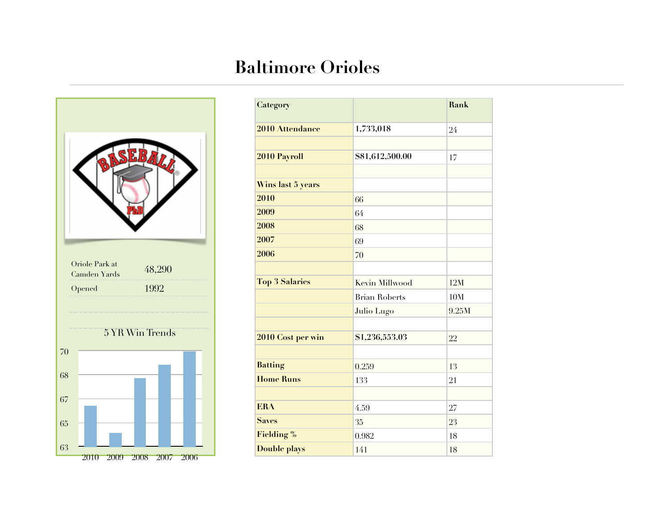## **Baltimore Orioles**



| Category              |                      | Rank  |
|-----------------------|----------------------|-------|
|                       |                      |       |
| 2010 Attendance       | 1,733,018            | 24    |
|                       |                      |       |
| 2010 Payroll          | \$81,612,500.00      | 17    |
|                       |                      |       |
| Wins last 5 years     |                      |       |
| 2010                  | 66                   |       |
| 2009                  | 64                   |       |
| 2008                  | 68                   |       |
| 2007                  | 69                   |       |
| 2006                  | 70                   |       |
|                       |                      |       |
| <b>Top 3 Salaries</b> | Kevin Millwood       | 12M   |
|                       | <b>Brian Roberts</b> | 10M   |
|                       | Julio Lugo           | 9.25M |
|                       |                      |       |
| 2010 Cost per win     | \$1,236,553.03       | 22    |
|                       |                      |       |
| <b>Batting</b>        | 0.259                | 13    |
| <b>Home Runs</b>      | 133                  | 21    |
|                       |                      |       |
| <b>ERA</b>            | 4.59                 | 27    |
| <b>Saves</b>          | 35                   | 23    |
| <b>Fielding %</b>     | 0.982                | 18    |
| <b>Double plays</b>   | 141                  | 18    |